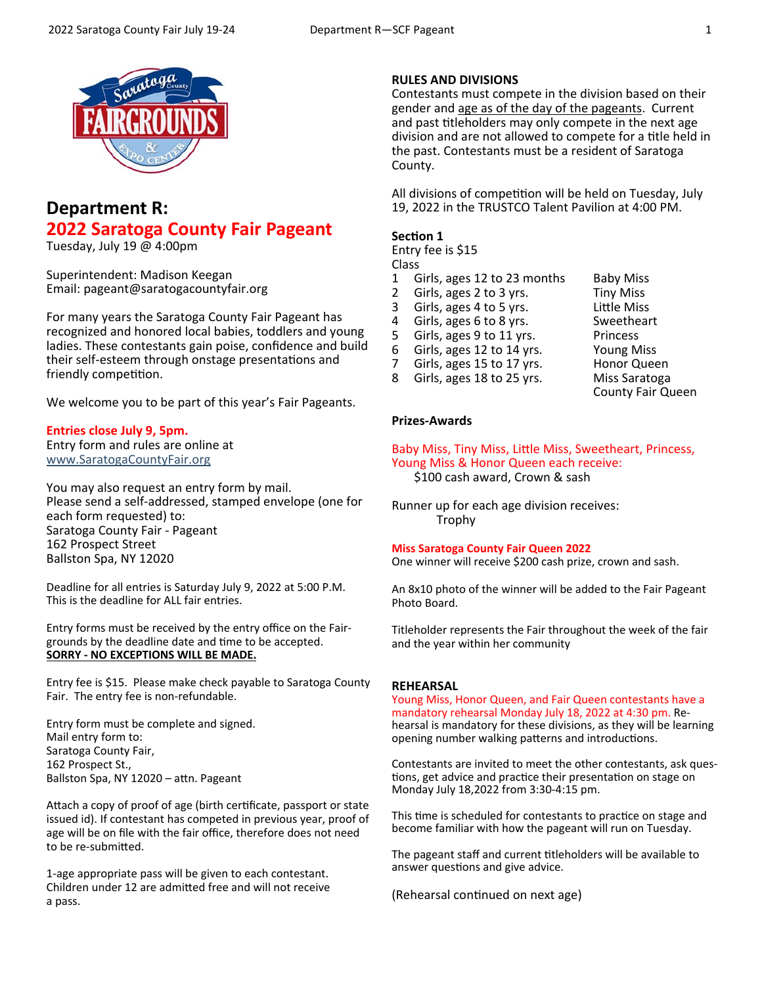

# **Department R: 2022 Saratoga County Fair Pageant**

Tuesday, July 19 @ 4:00pm

Superintendent: Madison Keegan Email: pageant@saratogacountyfair.org

For many years the Saratoga County Fair Pageant has recognized and honored local babies, toddlers and young ladies. These contestants gain poise, confidence and build their self-esteem through onstage presentations and friendly competition.

We welcome you to be part of this year's Fair Pageants.

## **Entries close July 9, 5pm.**

Entry form and rules are online at www.SaratogaCountyFair.org

You may also request an entry form by mail. Please send a self‐addressed, stamped envelope (one for each form requested) to: Saratoga County Fair ‐ Pageant 162 Prospect Street Ballston Spa, NY 12020

Deadline for all entries is Saturday July 9, 2022 at 5:00 P.M. This is the deadline for ALL fair entries.

Entry forms must be received by the entry office on the Fair‐ grounds by the deadline date and time to be accepted. **SORRY ‐ NO EXCEPTIONS WILL BE MADE.** 

Entry fee is \$15. Please make check payable to Saratoga County Fair. The entry fee is non-refundable.

Entry form must be complete and signed. Mail entry form to: Saratoga County Fair, 162 Prospect St., Ballston Spa, NY 12020 - attn. Pageant

Attach a copy of proof of age (birth certificate, passport or state issued id). If contestant has competed in previous year, proof of age will be on file with the fair office, therefore does not need to be re-submitted.

1‐age appropriate pass will be given to each contestant. Children under 12 are admitted free and will not receive a pass.

## **RULES AND DIVISIONS**

Contestants must compete in the division based on their gender and age as of the day of the pageants. Current and past titleholders may only compete in the next age division and are not allowed to compete for a title held in the past. Contestants must be a resident of Saratoga County.

All divisions of competition will be held on Tuesday, July 19, 2022 in the TRUSTCO Talent Pavilion at 4:00 PM.

## **Section 1**

Entry fee is \$15 Class

- 1 Girls, ages 12 to 23 months Baby Miss<br>2 Girls, ages 2 to 3 yrs. Tiny Miss
- 2 Girls, ages 2 to 3 yrs.<br>3 Girls, ages 4 to 5 yrs. Girls, ages 4 to 5 yrs. Little Miss
- 
- 4 Girls, ages 6 to 8 yrs. Sweetheart<br>5 Girls, ages 9 to 11 yrs. Princess Girls, ages 9 to 11 yrs. Princess
- 6 Girls, ages 12 to 14 yrs. Young Miss
- 7 Girls, ages 15 to 17 yrs. Honor Queen
- 8 Girls, ages 18 to 25 yrs. Miss Saratoga
- - County Fair Queen

## **Prizes‐Awards**

#### Baby Miss, Tiny Miss, Little Miss, Sweetheart, Princess, Young Miss & Honor Queen each receive: \$100 cash award, Crown & sash

Runner up for each age division receives: Trophy

#### **Miss Saratoga County Fair Queen 2022**

One winner will receive \$200 cash prize, crown and sash.

An 8x10 photo of the winner will be added to the Fair Pageant Photo Board.

Titleholder represents the Fair throughout the week of the fair and the year within her community

## **REHEARSAL**

Young Miss, Honor Queen, and Fair Queen contestants have a mandatory rehearsal Monday July 18, 2022 at 4:30 pm. Re‐ hearsal is mandatory for these divisions, as they will be learning opening number walking patterns and introductions.

Contestants are invited to meet the other contestants, ask ques‐ tions, get advice and practice their presentation on stage on Monday July 18,2022 from 3:30‐4:15 pm.

This time is scheduled for contestants to practice on stage and become familiar with how the pageant will run on Tuesday.

The pageant staff and current titleholders will be available to answer questions and give advice.

(Rehearsal continued on next age)